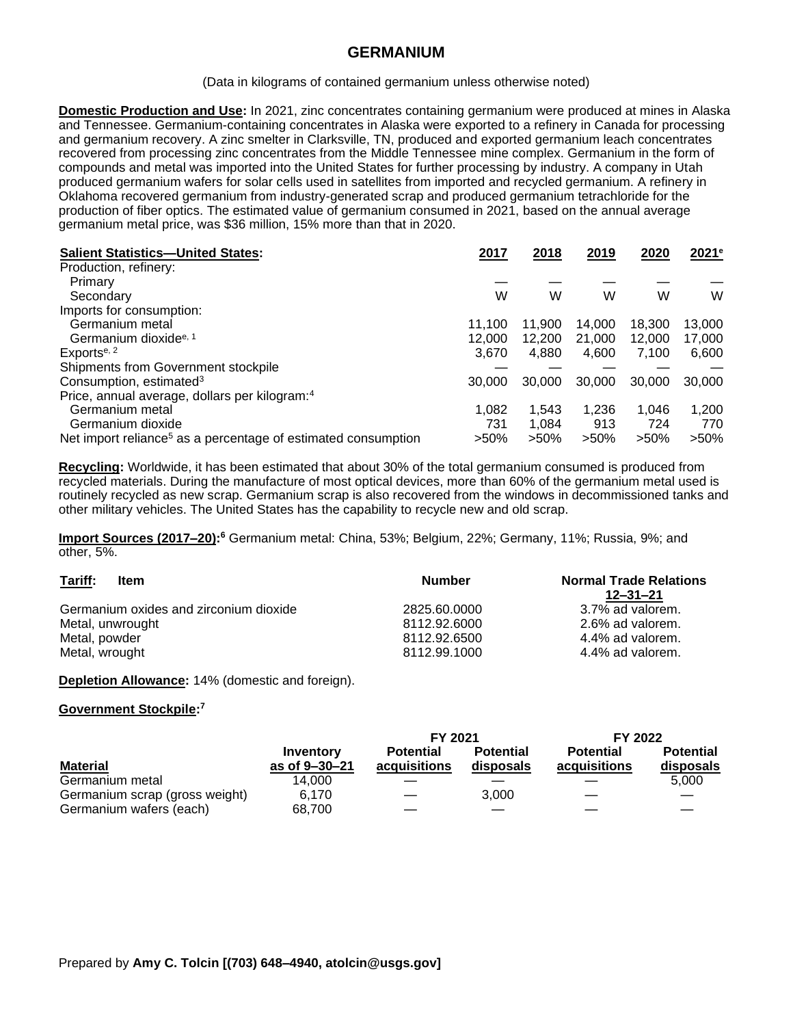## **GERMANIUM**

(Data in kilograms of contained germanium unless otherwise noted)

**Domestic Production and Use:** In 2021, zinc concentrates containing germanium were produced at mines in Alaska and Tennessee. Germanium-containing concentrates in Alaska were exported to a refinery in Canada for processing and germanium recovery. A zinc smelter in Clarksville, TN, produced and exported germanium leach concentrates recovered from processing zinc concentrates from the Middle Tennessee mine complex. Germanium in the form of compounds and metal was imported into the United States for further processing by industry. A company in Utah produced germanium wafers for solar cells used in satellites from imported and recycled germanium. A refinery in Oklahoma recovered germanium from industry-generated scrap and produced germanium tetrachloride for the production of fiber optics. The estimated value of germanium consumed in 2021, based on the annual average germanium metal price, was \$36 million, 15% more than that in 2020.

| <b>Salient Statistics-United States:</b>                                  | 2017    | 2018    | 2019    | 2020    | 2021 <sup>e</sup> |
|---------------------------------------------------------------------------|---------|---------|---------|---------|-------------------|
| Production, refinery:                                                     |         |         |         |         |                   |
| Primary                                                                   |         |         |         |         |                   |
| Secondary                                                                 | W       | W       | W       | W       | W                 |
| Imports for consumption:                                                  |         |         |         |         |                   |
| Germanium metal                                                           | 11.100  | 11.900  | 14.000  | 18.300  | 13,000            |
| Germanium dioxide <sup>e, 1</sup>                                         | 12,000  | 12,200  | 21,000  | 12,000  | 17,000            |
| Exports <sup>e, 2</sup>                                                   | 3.670   | 4.880   | 4.600   | 7.100   | 6,600             |
| Shipments from Government stockpile                                       |         |         |         |         |                   |
| Consumption, estimated <sup>3</sup>                                       | 30,000  | 30,000  | 30,000  | 30,000  | 30,000            |
| Price, annual average, dollars per kilogram: <sup>4</sup>                 |         |         |         |         |                   |
| Germanium metal                                                           | 1,082   | 1.543   | 1,236   | 1.046   | 1,200             |
| Germanium dioxide                                                         | 731     | 1.084   | 913     | 724     | 770               |
| Net import reliance <sup>5</sup> as a percentage of estimated consumption | $>50\%$ | $>50\%$ | $>50\%$ | $>50\%$ | $>50\%$           |

**Recycling:** Worldwide, it has been estimated that about 30% of the total germanium consumed is produced from recycled materials. During the manufacture of most optical devices, more than 60% of the germanium metal used is routinely recycled as new scrap. Germanium scrap is also recovered from the windows in decommissioned tanks and other military vehicles. The United States has the capability to recycle new and old scrap.

Import Sources (2017–20):<sup>6</sup> Germanium metal: China, 53%; Belgium, 22%; Germany, 11%; Russia, 9%; and other, 5%.

| Tariff:<br>Item                        | <b>Number</b> | <b>Normal Trade Relations</b><br>12–31–21 |
|----------------------------------------|---------------|-------------------------------------------|
| Germanium oxides and zirconium dioxide | 2825.60.0000  | 3.7% ad valorem.                          |
| Metal, unwrought                       | 8112.92.6000  | 2.6% ad valorem.                          |
| Metal, powder                          | 8112.92.6500  | 4.4% ad valorem.                          |
| Metal, wrought                         | 8112.99.1000  | 4.4% ad valorem.                          |

**Depletion Allowance:** 14% (domestic and foreign).

## **Government Stockpile: 7**

|                                |                            | <b>FY 2021</b>                   |                               | FY 2022                          |                               |
|--------------------------------|----------------------------|----------------------------------|-------------------------------|----------------------------------|-------------------------------|
| <b>Material</b>                | Inventory<br>as of 9-30-21 | <b>Potential</b><br>acquisitions | <b>Potential</b><br>disposals | <b>Potential</b><br>acquisitions | <b>Potential</b><br>disposals |
| Germanium metal                | 14.000                     |                                  |                               |                                  | 5.000                         |
| Germanium scrap (gross weight) | 6.170                      |                                  | 3.000                         |                                  |                               |
| Germanium wafers (each)        | 68.700                     |                                  |                               |                                  |                               |